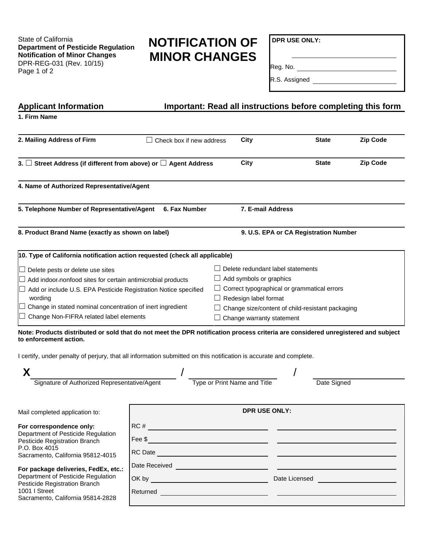State of California **Department of Pesticide Regulation Notification of Minor Changes**  DPR-REG-031 (Rev. 10/15) Page 1 of 2

# **NOTIFICATION OF MINOR CHANGES**

**DPR USE ONLY:** 

Reg. No.

 $\overline{\phantom{a}}$ 

R.S. Assigned \_\_\_\_\_\_\_\_\_\_\_\_\_\_\_\_\_\_\_\_\_\_\_\_\_\_\_

| <b>Applicant Information</b><br>Important: Read all instructions before completing this form                                                                                                                                                                                                                |                                                                                                                                                                                                                                                                                                                                                                                                                                                                                       |  |                                                                                                                                                                                                                                                                                                                                                                                 |               |                 |  |
|-------------------------------------------------------------------------------------------------------------------------------------------------------------------------------------------------------------------------------------------------------------------------------------------------------------|---------------------------------------------------------------------------------------------------------------------------------------------------------------------------------------------------------------------------------------------------------------------------------------------------------------------------------------------------------------------------------------------------------------------------------------------------------------------------------------|--|---------------------------------------------------------------------------------------------------------------------------------------------------------------------------------------------------------------------------------------------------------------------------------------------------------------------------------------------------------------------------------|---------------|-----------------|--|
| 1. Firm Name                                                                                                                                                                                                                                                                                                |                                                                                                                                                                                                                                                                                                                                                                                                                                                                                       |  |                                                                                                                                                                                                                                                                                                                                                                                 |               |                 |  |
| 2. Mailing Address of Firm                                                                                                                                                                                                                                                                                  | $\Box$ Check box if new address                                                                                                                                                                                                                                                                                                                                                                                                                                                       |  | <b>City</b>                                                                                                                                                                                                                                                                                                                                                                     | <b>State</b>  | <b>Zip Code</b> |  |
| 3. $\Box$ Street Address (if different from above) or $\Box$ Agent Address                                                                                                                                                                                                                                  |                                                                                                                                                                                                                                                                                                                                                                                                                                                                                       |  | <b>City</b>                                                                                                                                                                                                                                                                                                                                                                     | <b>State</b>  | <b>Zip Code</b> |  |
| 4. Name of Authorized Representative/Agent                                                                                                                                                                                                                                                                  |                                                                                                                                                                                                                                                                                                                                                                                                                                                                                       |  |                                                                                                                                                                                                                                                                                                                                                                                 |               |                 |  |
| 5. Telephone Number of Representative/Agent<br>6. Fax Number                                                                                                                                                                                                                                                |                                                                                                                                                                                                                                                                                                                                                                                                                                                                                       |  | 7. E-mail Address                                                                                                                                                                                                                                                                                                                                                               |               |                 |  |
| 8. Product Brand Name (exactly as shown on label)                                                                                                                                                                                                                                                           |                                                                                                                                                                                                                                                                                                                                                                                                                                                                                       |  | 9. U.S. EPA or CA Registration Number                                                                                                                                                                                                                                                                                                                                           |               |                 |  |
| 10. Type of California notification action requested (check all applicable)                                                                                                                                                                                                                                 |                                                                                                                                                                                                                                                                                                                                                                                                                                                                                       |  |                                                                                                                                                                                                                                                                                                                                                                                 |               |                 |  |
| $\Box$ Delete pests or delete use sites<br>$\Box$ Add indoor-nonfood sites for certain antimicrobial products<br>Add or include U.S. EPA Pesticide Registration Notice specified<br>wording<br>$\Box$ Change in stated nominal concentration of inert ingredient<br>Change Non-FIFRA related label elements |                                                                                                                                                                                                                                                                                                                                                                                                                                                                                       |  | Delete redundant label statements<br>$\Box$ Add symbols or graphics<br>$\Box$ Correct typographical or grammatical errors<br>$\Box$ Redesign label format<br>Change size/content of child-resistant packaging<br>Change warranty statement<br>Note: Products distributed or sold that do not meet the DPR notification process criteria are considered unregistered and subject |               |                 |  |
| to enforcement action.<br>I certify, under penalty of perjury, that all information submitted on this notification is accurate and complete.                                                                                                                                                                |                                                                                                                                                                                                                                                                                                                                                                                                                                                                                       |  |                                                                                                                                                                                                                                                                                                                                                                                 |               |                 |  |
| X                                                                                                                                                                                                                                                                                                           |                                                                                                                                                                                                                                                                                                                                                                                                                                                                                       |  |                                                                                                                                                                                                                                                                                                                                                                                 |               |                 |  |
| Signature of Authorized Representative/Agent                                                                                                                                                                                                                                                                |                                                                                                                                                                                                                                                                                                                                                                                                                                                                                       |  | Type or Print Name and Title                                                                                                                                                                                                                                                                                                                                                    | Date Signed   |                 |  |
| Mail completed application to:                                                                                                                                                                                                                                                                              | DPR USE ONLY:                                                                                                                                                                                                                                                                                                                                                                                                                                                                         |  |                                                                                                                                                                                                                                                                                                                                                                                 |               |                 |  |
| For correspondence only:<br>Department of Pesticide Regulation<br>Pesticide Registration Branch<br>P.O. Box 4015<br>Sacramento, California 95812-4015                                                                                                                                                       | RC#<br>Fee \$<br>RC Date <b>Contract Contract Contract Contract Contract Contract Contract Contract Contract Contract Contract Contract Contract Contract Contract Contract Contract Contract Contract Contract Contract Contract Contract Contra</b>                                                                                                                                                                                                                                 |  |                                                                                                                                                                                                                                                                                                                                                                                 |               |                 |  |
| For package deliveries, FedEx, etc.:<br>Department of Pesticide Regulation<br>Pesticide Registration Branch<br>1001   Street<br>Sacramento, California 95814-2828                                                                                                                                           | Date Received<br>OK by the contract of the contract of the contract of the contract of the contract of the contract of the contract of the contract of the contract of the contract of the contract of the contract of the contract of the cont<br>Returned <b>Example 2008 Contract Contract Contract Contract Contract Contract Contract Contract Contract Contract Contract Contract Contract Contract Contract Contract Contract Contract Contract Contract Contract Contract</b> |  |                                                                                                                                                                                                                                                                                                                                                                                 | Date Licensed |                 |  |